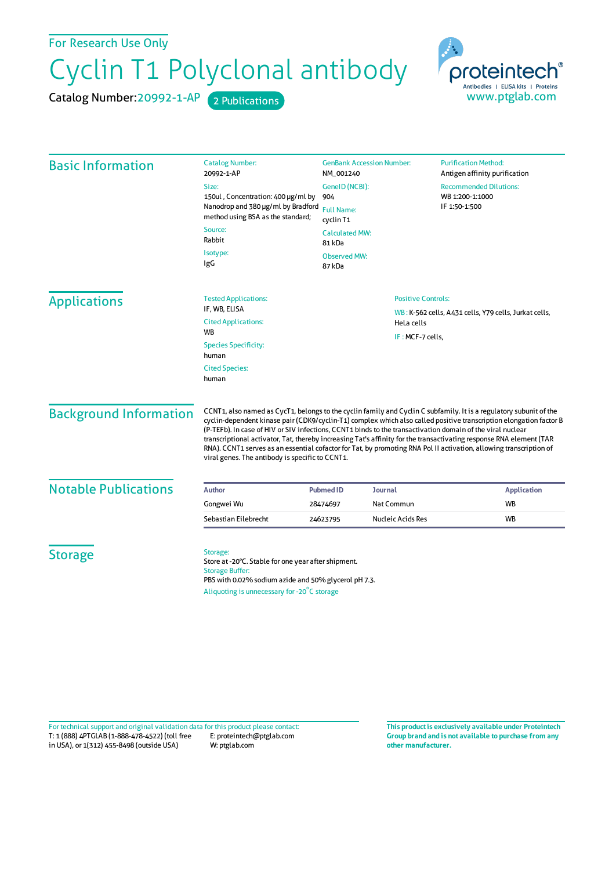For Research Use Only

## Cyclin T1 Polyclonal antibody

Catalog Number: 20992-1-AP 2 Publications



| <b>Basic Information</b>      | <b>Catalog Number:</b><br>20992-1-AP                                                                                                                                                                                                                                                                                                                                                                                                                                                                                                                                                                                                                   | <b>GenBank Accession Number:</b><br>NM_001240<br>GenelD (NCBI):<br>904 |                   | <b>Purification Method:</b><br>Antigen affinity purification<br><b>Recommended Dilutions:</b><br>WB 1:200-1:1000 |  |
|-------------------------------|--------------------------------------------------------------------------------------------------------------------------------------------------------------------------------------------------------------------------------------------------------------------------------------------------------------------------------------------------------------------------------------------------------------------------------------------------------------------------------------------------------------------------------------------------------------------------------------------------------------------------------------------------------|------------------------------------------------------------------------|-------------------|------------------------------------------------------------------------------------------------------------------|--|
|                               | Size:                                                                                                                                                                                                                                                                                                                                                                                                                                                                                                                                                                                                                                                  |                                                                        |                   |                                                                                                                  |  |
|                               | 150ul, Concentration: 400 µg/ml by<br>Nanodrop and 380 µg/ml by Bradford<br>method using BSA as the standard;<br>Source:<br>Rabbit                                                                                                                                                                                                                                                                                                                                                                                                                                                                                                                     |                                                                        |                   |                                                                                                                  |  |
|                               |                                                                                                                                                                                                                                                                                                                                                                                                                                                                                                                                                                                                                                                        | IF 1:50-1:500<br><b>Full Name:</b><br>cyclin T1                        |                   |                                                                                                                  |  |
|                               |                                                                                                                                                                                                                                                                                                                                                                                                                                                                                                                                                                                                                                                        | <b>Calculated MW:</b><br>81 kDa                                        |                   |                                                                                                                  |  |
|                               | Isotype:<br>IgG                                                                                                                                                                                                                                                                                                                                                                                                                                                                                                                                                                                                                                        | <b>Observed MW:</b><br>87 kDa                                          |                   |                                                                                                                  |  |
| <b>Applications</b>           | <b>Tested Applications:</b>                                                                                                                                                                                                                                                                                                                                                                                                                                                                                                                                                                                                                            | <b>Positive Controls:</b>                                              |                   |                                                                                                                  |  |
|                               | IF, WB, ELISA<br><b>Cited Applications:</b>                                                                                                                                                                                                                                                                                                                                                                                                                                                                                                                                                                                                            |                                                                        |                   | WB: K-562 cells, A431 cells, Y79 cells, Jurkat cells,<br>HeLa cells<br>IF: MCF-7 cells,                          |  |
|                               | <b>WB</b>                                                                                                                                                                                                                                                                                                                                                                                                                                                                                                                                                                                                                                              |                                                                        |                   |                                                                                                                  |  |
|                               | <b>Species Specificity:</b><br>human                                                                                                                                                                                                                                                                                                                                                                                                                                                                                                                                                                                                                   |                                                                        |                   |                                                                                                                  |  |
|                               | <b>Cited Species:</b><br>human                                                                                                                                                                                                                                                                                                                                                                                                                                                                                                                                                                                                                         |                                                                        |                   |                                                                                                                  |  |
| <b>Background Information</b> | CCNT1, also named as CycT1, belongs to the cyclin family and Cyclin C subfamily. It is a regulatory subunit of the<br>cyclin-dependent kinase pair (CDK9/cyclin-T1) complex which also called positive transcription elongation factor B<br>(P-TEFb). In case of HIV or SIV infections, CCNT1 binds to the transactivation domain of the viral nuclear<br>transcriptional activator, Tat, thereby increasing Tat's affinity for the transactivating response RNA element (TAR<br>RNA). CCNT1 serves as an essential cofactor for Tat, by promoting RNA Pol II activation, allowing transcription of<br>viral genes. The antibody is specific to CCNT1. |                                                                        |                   |                                                                                                                  |  |
| <b>Notable Publications</b>   | <b>Author</b>                                                                                                                                                                                                                                                                                                                                                                                                                                                                                                                                                                                                                                          | <b>Pubmed ID</b>                                                       | Journal           | <b>Application</b>                                                                                               |  |
|                               | Gongwei Wu                                                                                                                                                                                                                                                                                                                                                                                                                                                                                                                                                                                                                                             | 28474697                                                               | Nat Commun        | <b>WB</b>                                                                                                        |  |
|                               | Sebastian Eilebrecht                                                                                                                                                                                                                                                                                                                                                                                                                                                                                                                                                                                                                                   | 24623795                                                               | Nucleic Acids Res | <b>WB</b>                                                                                                        |  |
| <b>Storage</b>                | Storage:<br>Store at -20°C. Stable for one year after shipment.<br><b>Storage Buffer:</b><br>PBS with 0.02% sodium azide and 50% glycerol pH 7.3.<br>Aliquoting is unnecessary for -20°C storage                                                                                                                                                                                                                                                                                                                                                                                                                                                       |                                                                        |                   |                                                                                                                  |  |

T: 1 (888) 4PTGLAB (1-888-478-4522) (toll free in USA), or 1(312) 455-8498 (outside USA) E: proteintech@ptglab.com W: ptglab.com Fortechnical support and original validation data forthis product please contact: **This productis exclusively available under Proteintech**

**Group brand and is not available to purchase from any other manufacturer.**